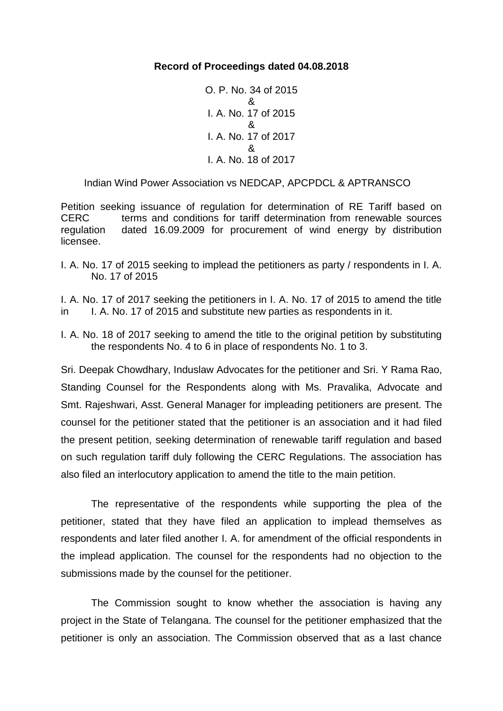# **Record of Proceedings dated 04.08.2018**

```
O. P. No. 34 of 2015
         &
I. A. No. 17 of 2015
         &
I. A. No. 17 of 2017 
          &
I. A. No. 18 of 2017
```
Indian Wind Power Association vs NEDCAP, APCPDCL & APTRANSCO

Petition seeking issuance of regulation for determination of RE Tariff based on CERC terms and conditions for tariff determination from renewable sources regulation dated 16.09.2009 for procurement of wind energy by distribution licensee.

- I. A. No. 17 of 2015 seeking to implead the petitioners as party / respondents in I. A. No. 17 of 2015
- I. A. No. 17 of 2017 seeking the petitioners in I. A. No. 17 of 2015 to amend the title in I. A. No. 17 of 2015 and substitute new parties as respondents in it.
- I. A. No. 18 of 2017 seeking to amend the title to the original petition by substituting the respondents No. 4 to 6 in place of respondents No. 1 to 3.

Sri. Deepak Chowdhary, Induslaw Advocates for the petitioner and Sri. Y Rama Rao, Standing Counsel for the Respondents along with Ms. Pravalika, Advocate and Smt. Rajeshwari, Asst. General Manager for impleading petitioners are present. The counsel for the petitioner stated that the petitioner is an association and it had filed the present petition, seeking determination of renewable tariff regulation and based on such regulation tariff duly following the CERC Regulations. The association has also filed an interlocutory application to amend the title to the main petition.

The representative of the respondents while supporting the plea of the petitioner, stated that they have filed an application to implead themselves as respondents and later filed another I. A. for amendment of the official respondents in the implead application. The counsel for the respondents had no objection to the submissions made by the counsel for the petitioner.

The Commission sought to know whether the association is having any project in the State of Telangana. The counsel for the petitioner emphasized that the petitioner is only an association. The Commission observed that as a last chance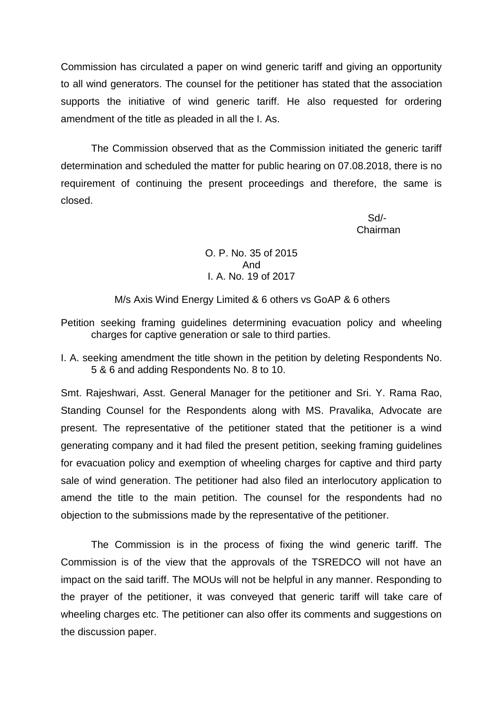Commission has circulated a paper on wind generic tariff and giving an opportunity to all wind generators. The counsel for the petitioner has stated that the association supports the initiative of wind generic tariff. He also requested for ordering amendment of the title as pleaded in all the I. As.

The Commission observed that as the Commission initiated the generic tariff determination and scheduled the matter for public hearing on 07.08.2018, there is no requirement of continuing the present proceedings and therefore, the same is closed.

 Sd/- **Chairman** Chairman and Chairman and Chairman

> O. P. No. 35 of 2015 And I. A. No. 19 of 2017

M/s Axis Wind Energy Limited & 6 others vs GoAP & 6 others

Petition seeking framing guidelines determining evacuation policy and wheeling charges for captive generation or sale to third parties.

I. A. seeking amendment the title shown in the petition by deleting Respondents No. 5 & 6 and adding Respondents No. 8 to 10.

Smt. Rajeshwari, Asst. General Manager for the petitioner and Sri. Y. Rama Rao, Standing Counsel for the Respondents along with MS. Pravalika, Advocate are present. The representative of the petitioner stated that the petitioner is a wind generating company and it had filed the present petition, seeking framing guidelines for evacuation policy and exemption of wheeling charges for captive and third party sale of wind generation. The petitioner had also filed an interlocutory application to amend the title to the main petition. The counsel for the respondents had no objection to the submissions made by the representative of the petitioner.

The Commission is in the process of fixing the wind generic tariff. The Commission is of the view that the approvals of the TSREDCO will not have an impact on the said tariff. The MOUs will not be helpful in any manner. Responding to the prayer of the petitioner, it was conveyed that generic tariff will take care of wheeling charges etc. The petitioner can also offer its comments and suggestions on the discussion paper.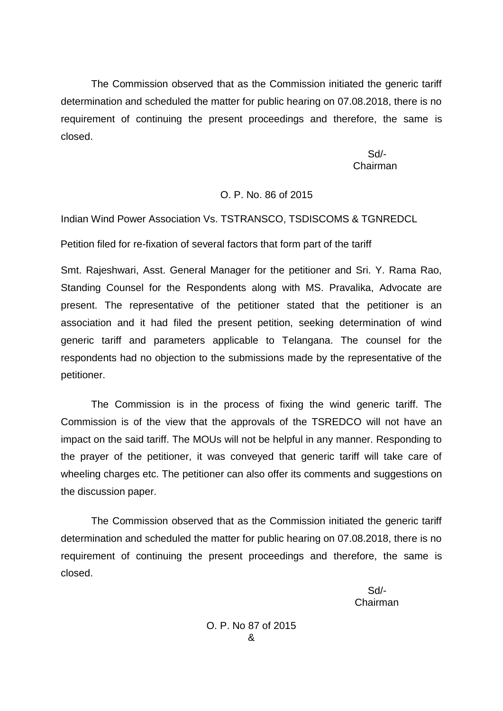The Commission observed that as the Commission initiated the generic tariff determination and scheduled the matter for public hearing on 07.08.2018, there is no requirement of continuing the present proceedings and therefore, the same is closed.

 Sd/- Chairman

# O. P. No. 86 of 2015

Indian Wind Power Association Vs. TSTRANSCO, TSDISCOMS & TGNREDCL

Petition filed for re-fixation of several factors that form part of the tariff

Smt. Rajeshwari, Asst. General Manager for the petitioner and Sri. Y. Rama Rao, Standing Counsel for the Respondents along with MS. Pravalika, Advocate are present. The representative of the petitioner stated that the petitioner is an association and it had filed the present petition, seeking determination of wind generic tariff and parameters applicable to Telangana. The counsel for the respondents had no objection to the submissions made by the representative of the petitioner.

The Commission is in the process of fixing the wind generic tariff. The Commission is of the view that the approvals of the TSREDCO will not have an impact on the said tariff. The MOUs will not be helpful in any manner. Responding to the prayer of the petitioner, it was conveyed that generic tariff will take care of wheeling charges etc. The petitioner can also offer its comments and suggestions on the discussion paper.

The Commission observed that as the Commission initiated the generic tariff determination and scheduled the matter for public hearing on 07.08.2018, there is no requirement of continuing the present proceedings and therefore, the same is closed.

 Sd/- Chairman

> O. P. No 87 of 2015 &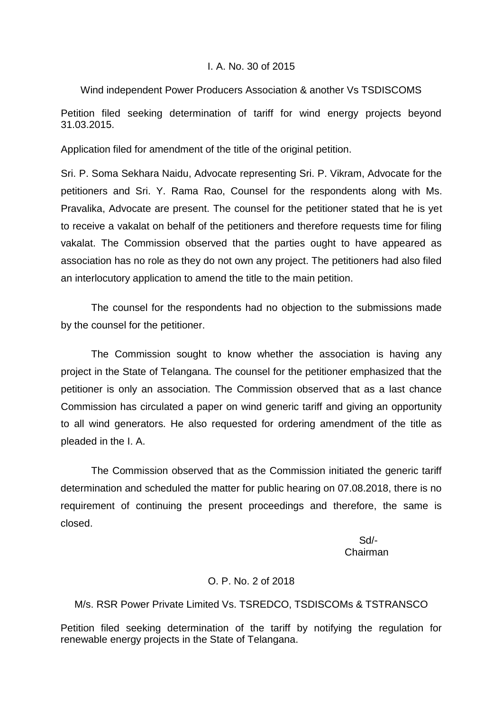## I. A. No. 30 of 2015

## Wind independent Power Producers Association & another Vs TSDISCOMS

Petition filed seeking determination of tariff for wind energy projects beyond 31.03.2015.

Application filed for amendment of the title of the original petition.

Sri. P. Soma Sekhara Naidu, Advocate representing Sri. P. Vikram, Advocate for the petitioners and Sri. Y. Rama Rao, Counsel for the respondents along with Ms. Pravalika, Advocate are present. The counsel for the petitioner stated that he is yet to receive a vakalat on behalf of the petitioners and therefore requests time for filing vakalat. The Commission observed that the parties ought to have appeared as association has no role as they do not own any project. The petitioners had also filed an interlocutory application to amend the title to the main petition.

The counsel for the respondents had no objection to the submissions made by the counsel for the petitioner.

The Commission sought to know whether the association is having any project in the State of Telangana. The counsel for the petitioner emphasized that the petitioner is only an association. The Commission observed that as a last chance Commission has circulated a paper on wind generic tariff and giving an opportunity to all wind generators. He also requested for ordering amendment of the title as pleaded in the I. A.

The Commission observed that as the Commission initiated the generic tariff determination and scheduled the matter for public hearing on 07.08.2018, there is no requirement of continuing the present proceedings and therefore, the same is closed.

 Sd/- Chairman

## O. P. No. 2 of 2018

M/s. RSR Power Private Limited Vs. TSREDCO, TSDISCOMs & TSTRANSCO

Petition filed seeking determination of the tariff by notifying the regulation for renewable energy projects in the State of Telangana.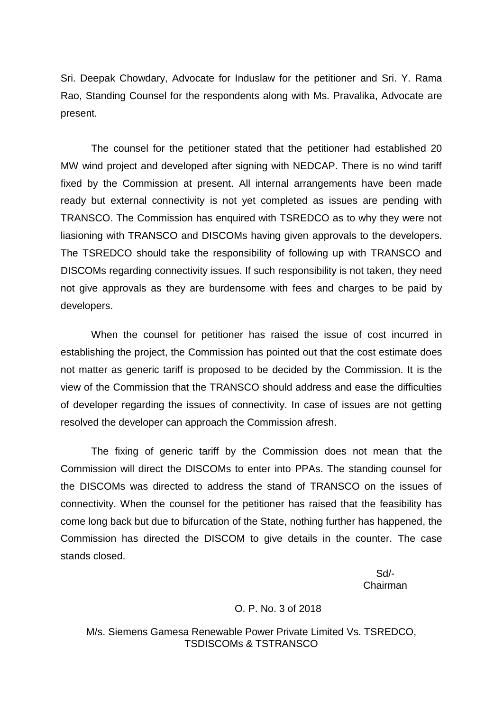Sri. Deepak Chowdary, Advocate for Induslaw for the petitioner and Sri. Y. Rama Rao, Standing Counsel for the respondents along with Ms. Pravalika, Advocate are present.

The counsel for the petitioner stated that the petitioner had established 20 MW wind project and developed after signing with NEDCAP. There is no wind tariff fixed by the Commission at present. All internal arrangements have been made ready but external connectivity is not yet completed as issues are pending with TRANSCO. The Commission has enquired with TSREDCO as to why they were not liasioning with TRANSCO and DISCOMs having given approvals to the developers. The TSREDCO should take the responsibility of following up with TRANSCO and DISCOMs regarding connectivity issues. If such responsibility is not taken, they need not give approvals as they are burdensome with fees and charges to be paid by developers.

When the counsel for petitioner has raised the issue of cost incurred in establishing the project, the Commission has pointed out that the cost estimate does not matter as generic tariff is proposed to be decided by the Commission. It is the view of the Commission that the TRANSCO should address and ease the difficulties of developer regarding the issues of connectivity. In case of issues are not getting resolved the developer can approach the Commission afresh.

The fixing of generic tariff by the Commission does not mean that the Commission will direct the DISCOMs to enter into PPAs. The standing counsel for the DISCOMs was directed to address the stand of TRANSCO on the issues of connectivity. When the counsel for the petitioner has raised that the feasibility has come long back but due to bifurcation of the State, nothing further has happened, the Commission has directed the DISCOM to give details in the counter. The case stands closed.

 Sd/- Chairman

#### O. P. No. 3 of 2018

M/s. Siemens Gamesa Renewable Power Private Limited Vs. TSREDCO, TSDISCOMs & TSTRANSCO